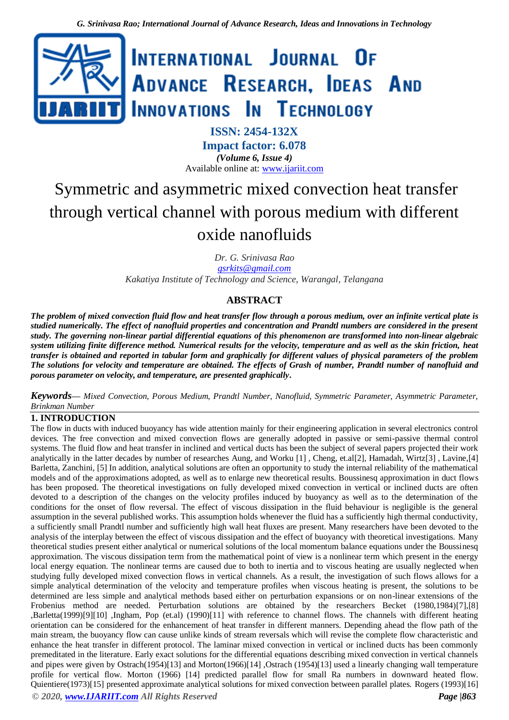

# **ISSN: 2454-132X Impact factor: 6.078** *(Volume 6, Issue 4)* Available online at: [www.ijariit.com](http://www.ijariit.com/)

# Symmetric and asymmetric mixed convection heat transfer through vertical channel with porous medium with different oxide nanofluids

*Dr. G. Srinivasa Rao [gsrkits@gmail.com](mailto:gsrkits@gmail.com) Kakatiya Institute of Technology and Science, Warangal, Telangana*

# **ABSTRACT**

*The problem of mixed convection fluid flow and heat transfer flow through a porous medium, over an infinite vertical plate is studied numerically. The effect of nanofluid properties and concentration and Prandtl numbers are considered in the present study. The governing non-linear partial differential equations of this phenomenon are transformed into non-linear algebraic system utilizing finite difference method. Numerical results for the velocity, temperature and as well as the skin friction, heat transfer is obtained and reported in tabular form and graphically for different values of physical parameters of the problem The solutions for velocity and temperature are obtained. The effects of Grash of number, Prandtl number of nanofluid and porous parameter on velocity, and temperature, are presented graphically***.**

*Keywords***⸻** *Mixed Convection, Porous Medium, Prandtl Number, Nanofluid, Symmetric Parameter, Asymmetric Parameter, Brinkman Number*

# **1. INTRODUCTION**

*© 2020, [www.IJARIIT.com](file:///C:/omak/Downloads/www.IJARIIT.com) All Rights Reserved Page |863* The flow in ducts with induced buoyancy has wide attention mainly for their engineering application in several electronics control devices. The free convection and mixed convection flows are generally adopted in passive or semi-passive thermal control systems. The fluid flow and heat transfer in inclined and vertical ducts has been the subject of several papers projected their work analytically in the latter decades by number of researches Aung, and Worku [1] , Cheng, et.al[2], Hamadah, Wirtz[3] , Lavine,[4] Barletta, Zanchini, [5] In addition, analytical solutions are often an opportunity to study the internal reliability of the mathematical models and of the approximations adopted, as well as to enlarge new theoretical results. Boussinesq approximation in duct flows has been proposed. The theoretical investigations on fully developed mixed convection in vertical or inclined ducts are often devoted to a description of the changes on the velocity profiles induced by buoyancy as well as to the determination of the conditions for the onset of flow reversal. The effect of viscous dissipation in the fluid behaviour is negligible is the general assumption in the several published works. This assumption holds whenever the fluid has a sufficiently high thermal conductivity, a sufficiently small Prandtl number and sufficiently high wall heat fluxes are present. Many researchers have been devoted to the analysis of the interplay between the effect of viscous dissipation and the effect of buoyancy with theoretical investigations. Many theoretical studies present either analytical or numerical solutions of the local momentum balance equations under the Boussinesq approximation. The viscous dissipation term from the mathematical point of view is a nonlinear term which present in the energy local energy equation. The nonlinear terms are caused due to both to inertia and to viscous heating are usually neglected when studying fully developed mixed convection flows in vertical channels. As a result, the investigation of such flows allows for a simple analytical determination of the velocity and temperature profiles when viscous heating is present, the solutions to be determined are less simple and analytical methods based either on perturbation expansions or on non-linear extensions of the Frobenius method are needed. Perturbation solutions are obtained by the researchers Becket (1980,1984)[7],[8] ,Barletta(1999)[9][10] ,Ingham, Pop (et.al) (1990)[11] with reference to channel flows. The channels with different heating orientation can be considered for the enhancement of heat transfer in different manners. Depending ahead the flow path of the main stream, the buoyancy flow can cause unlike kinds of stream reversals which will revise the complete flow characteristic and enhance the heat transfer in different protocol. The laminar mixed convection in vertical or inclined ducts has been commonly premeditated in the literature. Early exact solutions for the differential equations describing mixed convection in vertical channels and pipes were given by Ostrach(1954)[13] and Morton(1966)[14] ,Ostrach (1954)[13] used a linearly changing wall temperature profile for vertical flow. Morton (1966) [14] predicted parallel flow for small Ra numbers in downward heated flow. Quientiere(1973)[15] presented approximate analytical solutions for mixed convection between parallel plates. Rogers (1993)[16]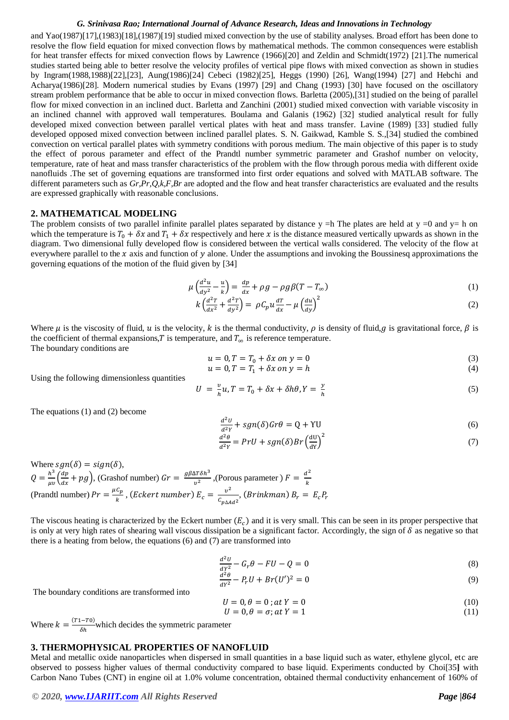and Yao(1987)[17],(1983)[18],(1987)[19] studied mixed convection by the use of stability analyses. Broad effort has been done to resolve the flow field equation for mixed convection flows by mathematical methods. The common consequences were establish for heat transfer effects for mixed convection flows by Lawrence (1966)[20] and Zeldin and Schmidt(1972) [21].The numerical studies started being able to better resolve the velocity profiles of vertical pipe flows with mixed convection as shown in studies by Ingram(1988,1988)[22],[23], Aung(1986)[24] Cebeci (1982)[25], Heggs (1990) [26], Wang(1994) [27] and Hebchi and Acharya(1986)[28]. Modern numerical studies by Evans (1997) [29] and Chang (1993) [30] have focused on the oscillatory stream problem performance that be able to occur in mixed convection flows. Barletta (2005),[31] studied on the being of parallel flow for mixed convection in an inclined duct. Barletta and Zanchini (2001) studied mixed convection with variable viscosity in an inclined channel with approved wall temperatures. Boulama and Galanis (1962) [32] studied analytical result for fully developed mixed convection between parallel vertical plates with heat and mass transfer. Lavine (1989) [33] studied fully developed opposed mixed convection between inclined parallel plates. S. N. Gaikwad, Kamble S. S.,[34] studied the combined convection on vertical parallel plates with symmetry conditions with porous medium. The main objective of this paper is to study the effect of porous parameter and effect of the Prandtl number symmetric parameter and Grashof number on velocity, temperature, rate of heat and mass transfer characteristics of the problem with the flow through porous media with different oxide nanofluids .The set of governing equations are transformed into first order equations and solved with MATLAB software. The different parameters such as *Gr,Pr,Q,k,F,Br* are adopted and the flow and heat transfer characteristics are evaluated and the results are expressed graphically with reasonable conclusions.

### **2. MATHEMATICAL MODELING**

The problem consists of two parallel infinite parallel plates separated by distance  $y = h$  The plates are held at  $y = 0$  and  $y = h$  on which the temperature is  $T_0 + \delta x$  and  $T_1 + \delta x$  respectively and here x is the distance measured vertically upwards as shown in the diagram. Two dimensional fully developed flow is considered between the vertical walls considered. The velocity of the flow at everywhere parallel to the x axis and function of y alone. Under the assumptions and invoking the Boussinesq approximations the governing equations of the motion of the fluid given by [34]

$$
\mu \left( \frac{d^2 u}{dy^2} - \frac{u}{k} \right) = \frac{dp}{dx} + \rho g - \rho g \beta (T - T_{\infty})
$$
\n(1)

$$
k\left(\frac{d^2T}{dx^2} + \frac{d^2T}{dy^2}\right) = \rho C_p u \frac{dT}{dx} - \mu \left(\frac{du}{dy}\right)^2 \tag{2}
$$

Where  $\mu$  is the viscosity of fluid,  $\mu$  is the velocity, k is the thermal conductivity,  $\rho$  is density of fluid, g is gravitational force,  $\beta$  is the coefficient of thermal expansions, T is temperature, and  $T_{\infty}$  is reference temperature. The boundary conditions are

$$
u = 0, T = T_0 + \delta x \text{ on } y = 0 \tag{3}
$$

$$
u = 0, T = T_1 + \delta x \text{ on } y = h \tag{4}
$$

Using the following dimensionless quantities

$$
U = \frac{\nu}{h}u, T = T_0 + \delta x + \delta h\theta, Y = \frac{\nu}{h}
$$
\n<sup>(5)</sup>

The equations (1) and (2) become

$$
\frac{d^2U}{d^2Y} + sgn(\delta)Gr\theta = Q + \Upsilon U
$$
\n(6)

$$
\frac{d^2\theta}{d^2r} = PrU + sgn(\delta)Br\left(\frac{dU}{dY}\right)^2\tag{7}
$$

Where  $sgn(\delta) = sign(\delta)$ ,  $Q = \frac{h^3}{\mu v} \left( \frac{dp}{dx} \right)$  $\frac{dp}{dx} + pg$ ), (Grashof number)  $Gr = \frac{g\beta\Delta T\delta h^3}{v^2}$  $\frac{\Delta T \delta h^3}{v^2}$ , (Porous parameter )  $F = \frac{d^2}{k}$  $\boldsymbol{k}$ (Prandtl number)  $Pr = \frac{\mu C_p}{h}$  $\frac{c_p}{k}$ , (Eckert number)  $E_c = \frac{v^2}{c_{m\Lambda}A}$  $\frac{\partial}{\partial c_{p\Delta A}d^2}$ , (Brinkman)  $B_r = E_c P_r$ 

The viscous heating is characterized by the Eckert number  $(E_c)$  and it is very small. This can be seen in its proper perspective that is only at very high rates of shearing wall viscous dissipation be a significant factor. Accordingly, the sign of  $\delta$  as negative so that there is a heating from below, the equations (6) and (7) are transformed into

$$
\frac{d^2U}{dr^2} - G_r \theta - FU - Q = 0 \tag{8}
$$

$$
\frac{d^2\theta}{dy^2} - P_r U + Br(U')^2 = 0\tag{9}
$$

The boundary conditions are transformed into

$$
U = 0, \theta = 0; at Y = 0 \tag{10}
$$

$$
U = 0, \theta = \sigma; \text{at } Y = 1 \tag{11}
$$

Where  $k = \frac{(T_1 - T_0)}{r_h}$  $\frac{(-10)}{\delta h}$  which decides the symmetric parameter

## **3. THERMOPHYSICAL PROPERTIES OF NANOFLUID**

Metal and metallic oxide nanoparticles when dispersed in small quantities in a base liquid such as water, ethylene glycol, etc are observed to possess higher values of thermal conductivity compared to base liquid. Experiments conducted by Choi[35**]** with Carbon Nano Tubes (CNT) in engine oil at 1.0% volume concentration, obtained thermal conductivity enhancement of 160% of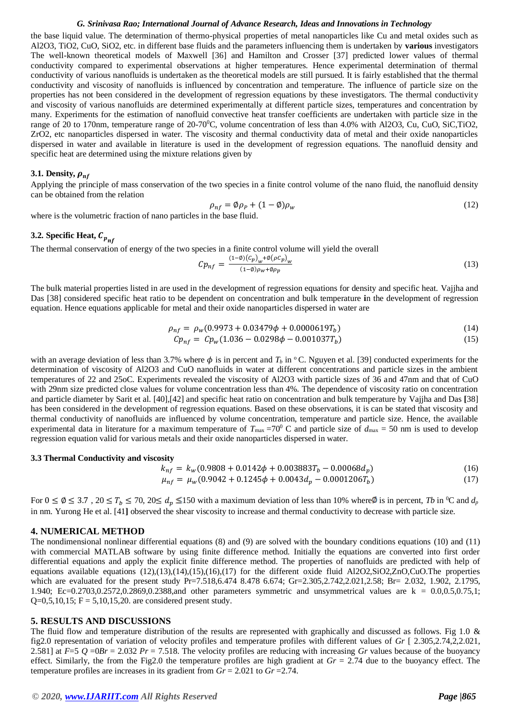the base liquid value. The determination of thermo-physical properties of metal nanoparticles like Cu and metal oxides such as Al2O3, TiO2, CuO, SiO2, etc. in different base fluids and the parameters influencing them is undertaken by **various** investigators The well-known theoretical models of Maxwell [36] and Hamilton and Crosser [37] predicted lower values of thermal conductivity compared to experimental observations at higher temperatures. Hence experimental determination of thermal conductivity of various nanofluids is undertaken as the theoretical models are still pursued. It is fairly established that the thermal conductivity and viscosity of nanofluids is influenced by concentration and temperature. The influence of particle size on the properties has not been considered in the development of regression equations by these investigators. The thermal conductivity and viscosity of various nanofluids are determined experimentally at different particle sizes, temperatures and concentration by many. Experiments for the estimation of nanofluid convective heat transfer coefficients are undertaken with particle size in the range of 20 to 170nm, temperature range of  $20-70^{\circ}$ C, volume concentration of less than 4.0% with Al2O3, Cu, CuO, SiC,TiO2, ZrO2, etc nanoparticles dispersed in water. The viscosity and thermal conductivity data of metal and their oxide nanoparticles dispersed in water and available in literature is used in the development of regression equations. The nanofluid density and specific heat are determined using the mixture relations given by

### **3.1. Density***,*  $\rho_{nf}$

Applying the principle of mass conservation of the two species in a finite control volume of the nano fluid, the nanofluid density can be obtained from the relation

$$
\rho_{nf} = \phi \rho_P + (1 - \phi) \rho_w \tag{12}
$$

where is the volumetric fraction of nano particles in the base fluid.

# **3.2. Specific Heat,**

The thermal conservation of energy of the two species in a finite control volume will yield the overall

$$
Cp_{nf} = \frac{(1-\emptyset)(c_p)_w + \emptyset(\rho c_p)_w}{(1-\emptyset)\rho_w + \emptyset\rho_p} \tag{13}
$$

The bulk material properties listed in are used in the development of regression equations for density and specific heat. Vajjha and Das [38] considered specific heat ratio to be dependent on concentration and bulk temperature **i**n the development of regression equation. Hence equations applicable for metal and their oxide nanoparticles dispersed in water are

$$
\rho_{nf} = \rho_w (0.9973 + 0.03479 \phi + 0.0000619 T_b)
$$
\n(14)

$$
Cp_{nf} = Cp_w(1.036 - 0.0298\phi - 0.001037T_b)
$$
\n(15)

with an average deviation of less than 3.7% where  $\phi$  is in percent and  $T_b$  in  $\degree$ C. Nguyen et al. [39] conducted experiments for the determination of viscosity of Al2O3 and CuO nanofluids in water at different concentrations and particle sizes in the ambient temperatures of 22 and 25oC. Experiments revealed the viscosity of Al2O3 with particle sizes of 36 and 47nm and that of CuO with 29nm size predicted close values for volume concentration less than 4%. The dependence of viscosity ratio on concentration and particle diameter by Sarit et al. [40],[42] and specific heat ratio on concentration and bulk temperature by Vajjha and Das **[**38] has been considered in the development of regression equations. Based on these observations, it is can be stated that viscosity and thermal conductivity of nanofluids are influenced by volume concentration, temperature and particle size. Hence, the available experimental data in literature for a maximum temperature of  $T_{\text{max}} = 70^{\circ}$  C and particle size of  $d_{\text{max}} = 50$  nm is used to develop regression equation valid for various metals and their oxide nanoparticles dispersed in water.

### **3.3 Thermal Conductivity and viscosity**

$$
k_{nf} = k_w(0.9808 + 0.0142\phi + 0.003883T_b - 0.00068d_p)
$$
\n(16)

$$
\mu_{nf} = \mu_w (0.9042 + 0.1245\phi + 0.0043d_p - 0.0001206T_b)
$$
\n(17)

For  $0 \le \emptyset \le 3.7$ ,  $20 \le T_b \le 70$ ,  $20 \le d_p \le 150$  with a maximum deviation of less than 10% where is in percent, *Tb* in <sup>0</sup>C and  $d_p$ in nm. Yurong He et al. [41**]** observed the shear viscosity to increase and thermal conductivity to decrease with particle size.

### **4. NUMERICAL METHOD**

The nondimensional nonlinear differential equations (8) and (9) are solved with the boundary conditions equations (10) and (11) with commercial MATLAB software by using finite difference method. Initially the equations are converted into first order differential equations and apply the explicit finite difference method. The properties of nanofluids are predicted with help of equations available equations (12),(13),(14),(15),(16),(17) for the different oxide fluid Al2O2,SiO2,ZnO,CuO.The properties which are evaluated for the present study Pr=7.518,6.474 8.478 6.674; Gr=2.305,2.742,2.021,2.58; Br= 2.032, 1.902, 2.1795, 1.940; Ec=0.2703,0.2572,0.2869,0.2388,and other parameters symmetric and unsymmetrical values are k = 0.0,0.5,0.75,1;  $Q=0,5,10,15; F = 5,10,15,20$ . are considered present study.

### **5. RESULTS AND DISCUSSIONS**

The fluid flow and temperature distribution of the results are represented with graphically and discussed as follows. Fig 1.0 & fig2.0 representation of variation of velocity profiles and temperature profiles with different values of *Gr* [ 2.305,2.74,2,2.021, 2.581] at  $F=5$   $Q = 0Br = 2.032$   $Pr = 7.518$ . The velocity profiles are reducing with increasing *Gr* values because of the buoyancy effect. Similarly, the from the Fig2.0 the temperature profiles are high gradient at *Gr* = 2.74 due to the buoyancy effect. The temperature profiles are increases in its gradient from *Gr* = 2.021 to *Gr* =2.74.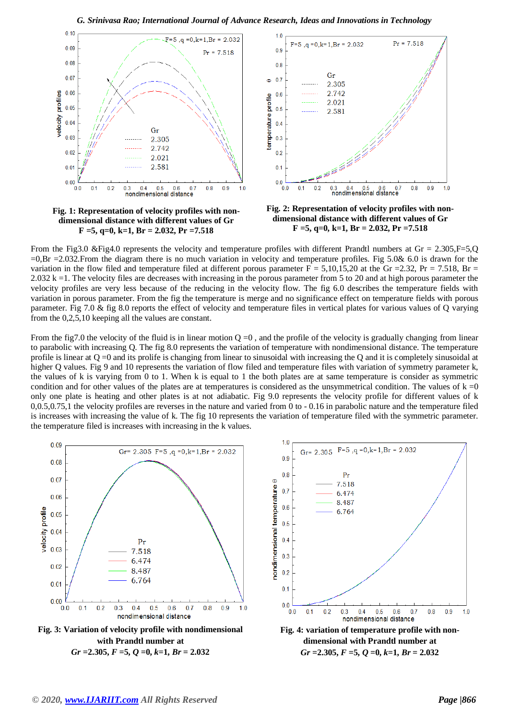







**Fig. 2: Representation of velocity profiles with nondimensional distance with different values of Gr F =5, q=0, k=1, Br = 2.032, Pr =7.518**

From the Fig3.0 &Fig4.0 represents the velocity and temperature profiles with different Prandtl numbers at  $Gr = 2.305$ ,F=5,Q  $=0.8r = 2.032$ . From the diagram there is no much variation in velocity and temperature profiles. Fig 5.0& 6.0 is drawn for the variation in the flow filed and temperature filed at different porous parameter  $F = 5,10,15,20$  at the Gr = 2.32, Pr = 7.518, Br = 2.032 k =1. The velocity files are decreases with increasing in the porous parameter from 5 to 20 and at high porous parameter the velocity profiles are very less because of the reducing in the velocity flow. The fig 6.0 describes the temperature fields with variation in porous parameter. From the fig the temperature is merge and no significance effect on temperature fields with porous parameter. Fig 7.0 & fig 8.0 reports the effect of velocity and temperature files in vertical plates for various values of Q varying from the 0,2,5,10 keeping all the values are constant.

From the fig7.0 the velocity of the fluid is in linear motion  $Q = 0$ , and the profile of the velocity is gradually changing from linear to parabolic with increasing Q. The fig 8.0 represents the variation of temperature with nondimensional distance. The temperature profile is linear at Q =0 and its prolife is changing from linear to sinusoidal with increasing the Q and it is completely sinusoidal at higher Q values. Fig 9 and 10 represents the variation of flow filed and temperature files with variation of symmetry parameter k, the values of k is varying from 0 to 1. When k is equal to 1 the both plates are at same temperature is consider as symmetric condition and for other values of the plates are at temperatures is considered as the unsymmetrical condition. The values of  $k = 0$ only one plate is heating and other plates is at not adiabatic. Fig 9.0 represents the velocity profile for different values of k 0,0.5,0.75,1 the velocity profiles are reverses in the nature and varied from 0 to - 0.16 in parabolic nature and the temperature filed is increases with increasing the value of k. The fig 10 represents the variation of temperature filed with the symmetric parameter. the temperature filed is increases with increasing in the k values.

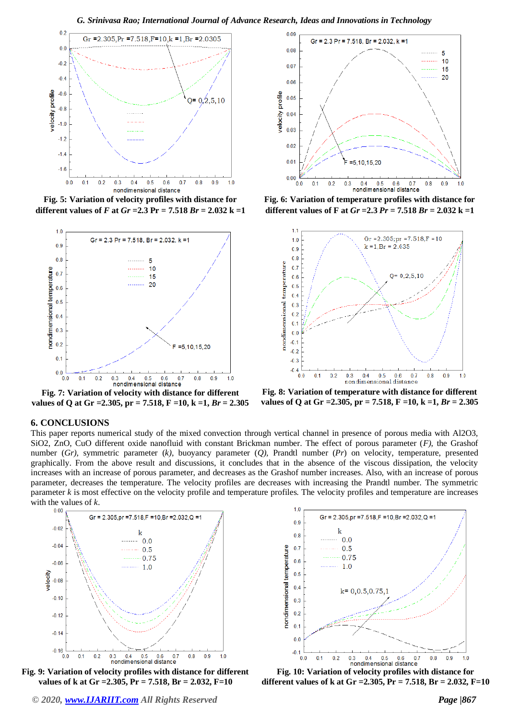

**Fig. 5: Variation of velocity profiles with distance for different values of** *F* **at** *Gr* **= 2.3 Pr = 7.518** *Br* **= 2.032 k = 1** 



**Fig. 7: Variation of velocity with distance for different values of Q at Gr =2.305, pr = 7.518, F =10, k =1,** *Br* **= 2.305**



**Fig. 6: Variation of temperature profiles with distance for different values of F at** *Gr* **=2.3** *Pr* **= 7.518** *Br* **= 2.032 k =1**



**Fig. 8: Variation of temperature with distance for different values of Q at Gr =2.305, pr = 7.518, F =10, k =1,** *Br* **= 2.305**

### **6. CONCLUSIONS**

This paper reports numerical study of the mixed convection through vertical channel in presence of porous media with Al2O3, SiO2, ZnO, CuO different oxide nanofluid with constant Brickman number. The effect of porous parameter (*F)*, the Grashof number (*Gr)*, symmetric parameter (*k)*, buoyancy parameter (*Q),* Prandtl number (*Pr*) on velocity, temperature, presented graphically. From the above result and discussions, it concludes that in the absence of the viscous dissipation, the velocity increases with an increase of porous parameter, and decreases as the Grashof number increases. Also, with an increase of porous parameter, decreases the temperature. The velocity profiles are decreases with increasing the Prandtl number. The symmetric parameter *k* is most effective on the velocity profile and temperature profiles. The velocity profiles and temperature are increases with the values of  $k$ .



**Fig. 9: Variation of velocity profiles with distance for different values of k at Gr =2.305, Pr = 7.518, Br = 2.032, F=10**



**Fig. 10: Variation of velocity profiles with distance for different values of k at Gr =2.305, Pr = 7.518, Br = 2.032, F=10**

*© 2020, [www.IJARIIT.com](file:///C:/omak/Downloads/www.IJARIIT.com) All Rights Reserved Page |867*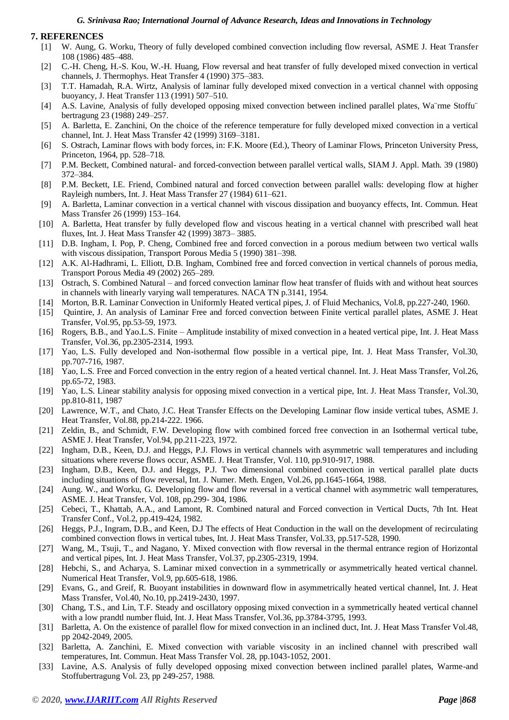## **7. REFERENCES**

- [1] W. Aung, G. Worku, Theory of fully developed combined convection including flow reversal, ASME J. Heat Transfer 108 (1986) 485–488.
- [2] C.-H. Cheng, H.-S. Kou, W.-H. Huang, Flow reversal and heat transfer of fully developed mixed convection in vertical channels, J. Thermophys. Heat Transfer 4 (1990) 375–383.
- [3] T.T. Hamadah, R.A. Wirtz, Analysis of laminar fully developed mixed convection in a vertical channel with opposing buoyancy, J. Heat Transfer 113 (1991) 507–510.
- [4] A.S. Lavine, Analysis of fully developed opposing mixed convection between inclined parallel plates, Wa¨rme Stoffu¨ bertragung 23 (1988) 249–257.
- [5] A. Barletta, E. Zanchini, On the choice of the reference temperature for fully developed mixed convection in a vertical channel, Int. J. Heat Mass Transfer 42 (1999) 3169–3181.
- [6] S. Ostrach, Laminar flows with body forces, in: F.K. Moore (Ed.), Theory of Laminar Flows, Princeton University Press, Princeton, 1964, pp. 528–718.
- [7] P.M. Beckett, Combined natural- and forced-convection between parallel vertical walls, SIAM J. Appl. Math. 39 (1980) 372–384.
- [8] P.M. Beckett, I.E. Friend, Combined natural and forced convection between parallel walls: developing flow at higher Rayleigh numbers, Int. J. Heat Mass Transfer 27 (1984) 611–621.
- [9] A. Barletta, Laminar convection in a vertical channel with viscous dissipation and buoyancy effects, Int. Commun. Heat Mass Transfer 26 (1999) 153–164.
- [10] A. Barletta, Heat transfer by fully developed flow and viscous heating in a vertical channel with prescribed wall heat fluxes, Int. J. Heat Mass Transfer 42 (1999) 3873– 3885.
- [11] D.B. Ingham, I. Pop, P. Cheng, Combined free and forced convection in a porous medium between two vertical walls with viscous dissipation, Transport Porous Media 5 (1990) 381–398.
- [12] A.K. Al-Hadhrami, L. Elliott, D.B. Ingham, Combined free and forced convection in vertical channels of porous media, Transport Porous Media 49 (2002) 265–289.
- [13] Ostrach, S. Combined Natural and forced convection laminar flow heat transfer of fluids with and without heat sources in channels with linearly varying wall temperatures. NACA TN p.3141, 1954.
- [14] Morton, B.R. Laminar Convection in Uniformly Heated vertical pipes, J. of Fluid Mechanics, Vol.8, pp.227-240, 1960.
- [15] Quintire, J. An analysis of Laminar Free and forced convection between Finite vertical parallel plates, ASME J. Heat Transfer, Vol.95, pp.53-59, 1973.
- [16] Rogers, B.B., and Yao.L.S. Finite Amplitude instability of mixed convection in a heated vertical pipe, Int. J. Heat Mass Transfer, Vol.36, pp.2305-2314, 1993.
- [17] Yao, L.S. Fully developed and Non-isothermal flow possible in a vertical pipe, Int. J. Heat Mass Transfer, Vol.30, pp.707-716, 1987.
- [18] Yao, L.S. Free and Forced convection in the entry region of a heated vertical channel. Int. J. Heat Mass Transfer, Vol.26, pp.65-72, 1983.
- [19] Yao, L.S. Linear stability analysis for opposing mixed convection in a vertical pipe, Int. J. Heat Mass Transfer, Vol.30, pp.810-811, 1987
- [20] Lawrence, W.T., and Chato, J.C. Heat Transfer Effects on the Developing Laminar flow inside vertical tubes, ASME J. Heat Transfer, Vol.88, pp.214-222. 1966.
- [21] Zeldin, B., and Schmidt, F.W. Developing flow with combined forced free convection in an Isothermal vertical tube, ASME J. Heat Transfer, Vol.94, pp.211-223, 1972.
- [22] Ingham, D.B., Keen, D.J. and Heggs, P.J. Flows in vertical channels with asymmetric wall temperatures and including situations where reverse flows occur, ASME. J. Heat Transfer, Vol. 110, pp.910-917, 1988.
- [23] Ingham, D.B., Keen, D.J. and Heggs, P.J. Two dimensional combined convection in vertical parallel plate ducts including situations of flow reversal, Int. J. Numer. Meth. Engen, Vol.26, pp.1645-1664, 1988.
- [24] Aung. W., and Worku, G. Developing flow and flow reversal in a vertical channel with asymmetric wall temperatures, ASME. J. Heat Transfer, Vol. 108, pp.299- 304, 1986.
- [25] Cebeci, T., Khattab, A.A., and Lamont, R. Combined natural and Forced convection in Vertical Ducts, 7th Int. Heat Transfer Conf., Vol.2, pp.419-424, 1982.
- [26] Heggs, P.J., Ingram, D.B., and Keen, D.J The effects of Heat Conduction in the wall on the development of recirculating combined convection flows in vertical tubes, Int. J. Heat Mass Transfer, Vol.33, pp.517-528, 1990.
- [27] Wang, M., Tsuji, T., and Nagano, Y. Mixed convection with flow reversal in the thermal entrance region of Horizontal and vertical pipes, Int. J. Heat Mass Transfer, Vol.37, pp.2305-2319, 1994.
- [28] Hebchi, S., and Acharya, S. Laminar mixed convection in a symmetrically or asymmetrically heated vertical channel. Numerical Heat Transfer, Vol.9, pp.605-618, 1986.
- [29] Evans, G., and Greif, R. Buoyant instabilities in downward flow in asymmetrically heated vertical channel, Int. J. Heat Mass Transfer, Vol.40, No.10, pp.2419-2430, 1997.
- [30] Chang, T.S., and Lin, T.F. Steady and oscillatory opposing mixed convection in a symmetrically heated vertical channel with a low prandtl number fluid, Int. J. Heat Mass Transfer, Vol.36, pp.3784-3795, 1993.
- [31] Barletta, A. On the existence of parallel flow for mixed convection in an inclined duct, Int. J. Heat Mass Transfer Vol.48, pp 2042-2049, 2005.
- [32] Barletta, A. Zanchini, E. Mixed convection with variable viscosity in an inclined channel with prescribed wall temperatures, Int. Commun. Heat Mass Transfer Vol. 28, pp.1043-1052, 2001.
- [33] Lavine, A.S. Analysis of fully developed opposing mixed convection between inclined parallel plates, Warme-and Stoffubertragung Vol. 23, pp 249-257, 1988.